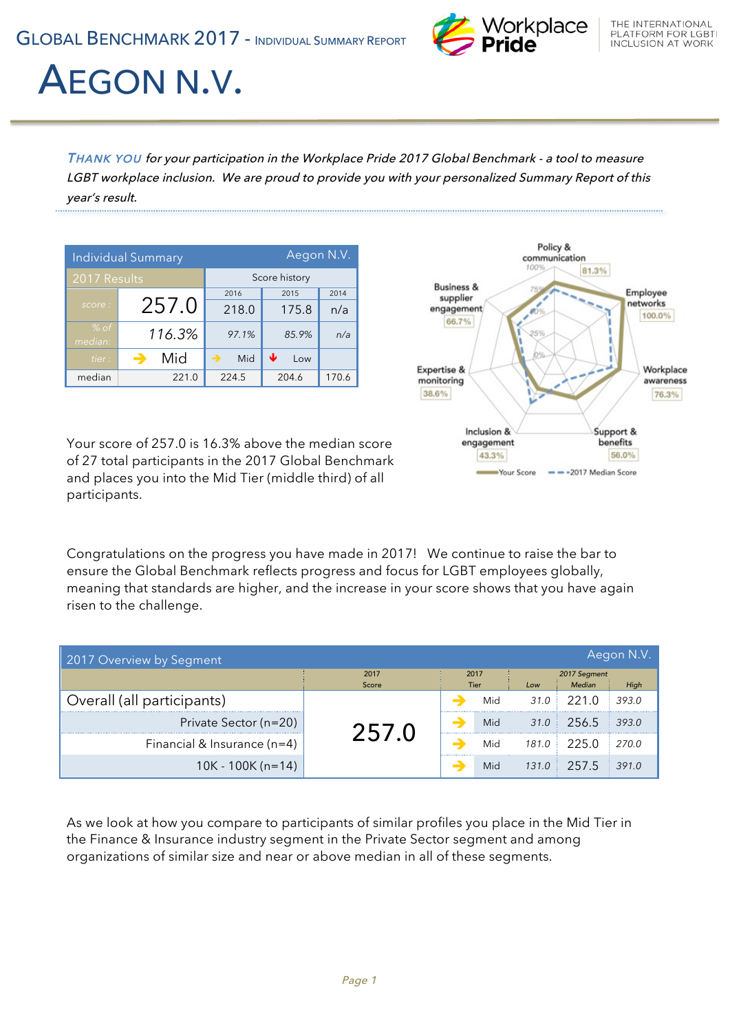

# AEGON N.V.

THANK YOU for your participation in the Workplace Pride 2017 Global Benchmark - a tool to measure LGBT workplace inclusion. We are proud to provide you with your personalized Summary Report of this year's result.

|                    | <b>Individual Summary</b> | Aegon N.V.           |          |       |
|--------------------|---------------------------|----------------------|----------|-------|
| 2017 Results       |                           | Score history        |          |       |
|                    |                           | 2016                 | 2015     | 2014  |
| score:             | 257.0                     | 218.0                | 175.8    | n/a   |
| $\%$ of<br>median: | 116.3%                    | 97.1%                | 85.9%    | n/a   |
| tier:              | Mid<br>→                  | Mid<br>$\rightarrow$ | ↓<br>Low |       |
| median             | 221.0                     | 224.5                | 204.6    | 170.6 |



Your score of 257.0 is 16.3% above the median score of 27 total participants in the 2017 Global Benchmark and places you into the Mid Tier (middle third) of all participants.

Congratulations on the progress you have made in 2017! We continue to raise the bar to ensure the Global Benchmark reflects progress and focus for LGBT employees globally, meaning that standards are higher, and the increase in your score shows that you have again risen to the challenge.

| Aegon N.V.<br>2017 Overview by Segment |               |                     |       |                        |       |
|----------------------------------------|---------------|---------------------|-------|------------------------|-------|
|                                        | 2017<br>Score | 2017<br><b>Tier</b> | Low   | 2017 Segment<br>Median | High  |
| Overall (all participants)             |               | Mid                 | 31.0  | 2210                   | 393.0 |
| Private Sector (n=20)                  | 257.0         | Mid                 |       | $31.0$ 256.5           | 393.0 |
| Financial & Insurance $(n=4)$          |               | Mid                 | 181.0 | 225 O                  | 270.0 |
| $10K - 100K(n=14)$                     |               | Mid                 |       | $131.0$ 257.5          | 391.0 |

As we look at how you compare to participants of similar profiles you place in the Mid Tier in the Finance & Insurance industry segment in the Private Sector segment and among organizations of similar size and near or above median in all of these segments.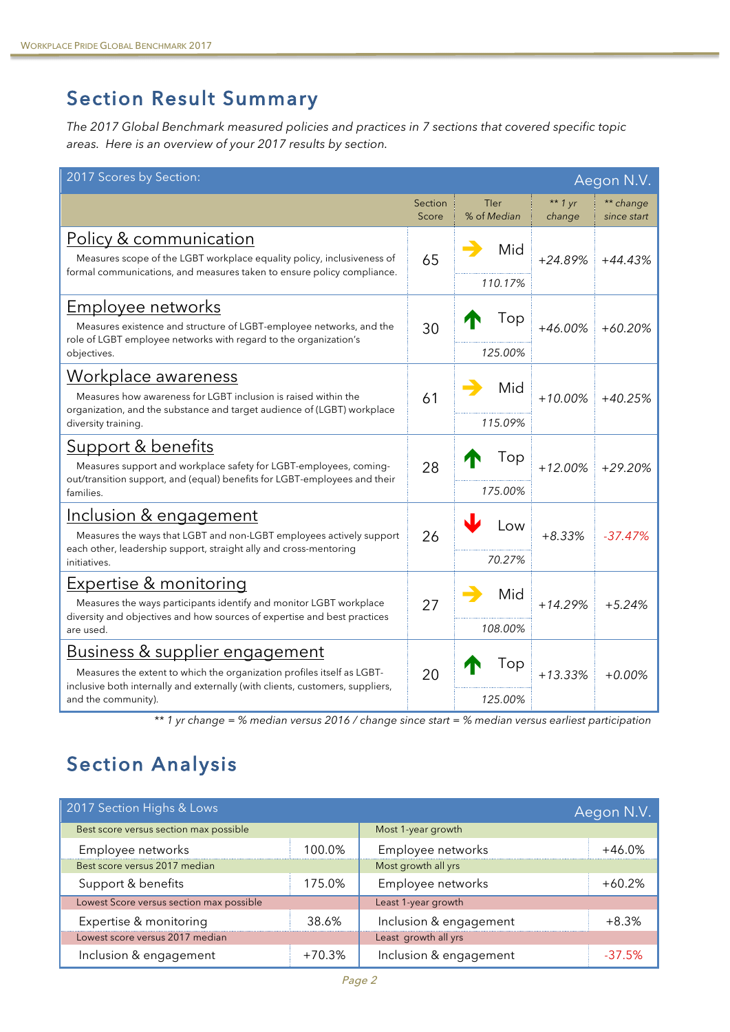#### Section Result Summary

*The 2017 Global Benchmark measured policies and practices in 7 sections that covered specific topic areas. Here is an overview of your 2017 results by section.*

| 2017 Scores by Section:                                                                                                                                                             |                  |                     |                     | Aegon N.V.               |
|-------------------------------------------------------------------------------------------------------------------------------------------------------------------------------------|------------------|---------------------|---------------------|--------------------------|
|                                                                                                                                                                                     | Section<br>Score | Tler<br>% of Median | ** $1 yr$<br>change | ** change<br>since start |
| Policy & communication<br>Measures scope of the LGBT workplace equality policy, inclusiveness of<br>formal communications, and measures taken to ensure policy compliance.          | 65               | Mid                 | $+24.89%$           | $+44.43%$                |
|                                                                                                                                                                                     |                  |                     |                     |                          |
| <b>Employee networks</b><br>Measures existence and structure of LGBT-employee networks, and the<br>role of LGBT employee networks with regard to the organization's                 | 30               | Top                 | $+46.00%$           | $+60.20%$                |
| objectives.                                                                                                                                                                         |                  | 125.00%             |                     |                          |
| <b>Workplace awareness</b><br>Measures how awareness for LGBT inclusion is raised within the<br>organization, and the substance and target audience of (LGBT) workplace             | 61               | Mid                 | $+10.00%$           | $+40.25%$                |
| diversity training.                                                                                                                                                                 |                  | 115.09%             |                     |                          |
| <b>Support &amp; benefits</b><br>Measures support and workplace safety for LGBT-employees, coming-<br>out/transition support, and (equal) benefits for LGBT-employees and their     | 28               | Top                 | $+12.00%$           | $+29.20%$                |
| families.                                                                                                                                                                           |                  | 175.00%             |                     |                          |
| <u>Inclusion &amp; engagement</u><br>Measures the ways that LGBT and non-LGBT employees actively support<br>each other, leadership support, straight ally and cross-mentoring       |                  | LOW                 | $+8.33%$            | $-37.47%$                |
| initiatives.                                                                                                                                                                        |                  | 70.27%              |                     |                          |
| <b>Expertise &amp; monitoring</b><br>Measures the ways participants identify and monitor LGBT workplace<br>diversity and objectives and how sources of expertise and best practices | 27               | Mid                 | $+14.29%$           | $+5.24%$                 |
| are used.                                                                                                                                                                           |                  | 108.00%             |                     |                          |
| <u>Business &amp; supplier engagement</u>                                                                                                                                           |                  |                     |                     |                          |
| Measures the extent to which the organization profiles itself as LGBT-<br>inclusive both internally and externally (with clients, customers, suppliers,                             | 20               | Top                 | $+13.33%$           | $+0.00\%$                |
| and the community).                                                                                                                                                                 |                  | 125.00%             |                     |                          |

*\*\* 1 yr change = % median versus 2016 / change since start = % median versus earliest participation*

## Section Analysis

| 2017 Section Highs & Lows                |          |                        | Aegon N.V. |
|------------------------------------------|----------|------------------------|------------|
| Best score versus section max possible   |          | Most 1-year growth     |            |
| Employee networks                        | 100.0%   | Employee networks      | $+46.0\%$  |
| Best score versus 2017 median            |          | Most growth all yrs    |            |
| Support & benefits                       | 175.0%   | Employee networks      | $+60.2%$   |
| Lowest Score versus section max possible |          | Least 1-year growth    |            |
| Expertise & monitoring                   | 38.6%    | Inclusion & engagement | $+8.3%$    |
| Lowest score versus 2017 median          |          | Least growth all yrs   |            |
| Inclusion & engagement                   | $+70.3%$ | Inclusion & engagement | $-37.5%$   |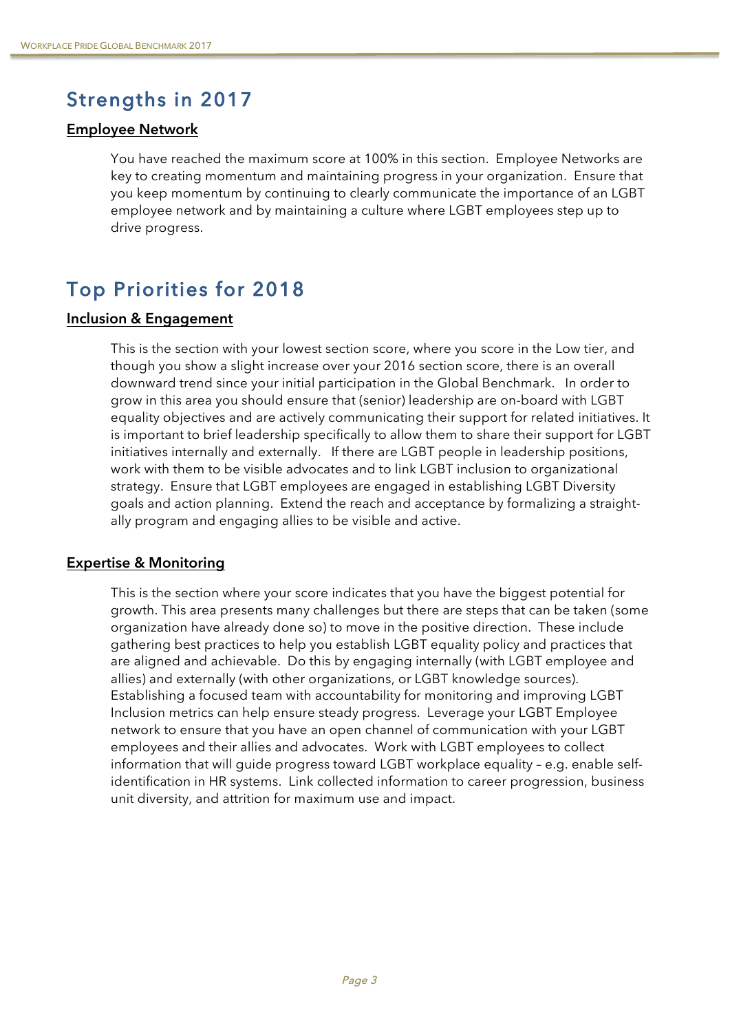### Strengths in 2017

#### **Employee Network**

You have reached the maximum score at 100% in this section. Employee Networks are key to creating momentum and maintaining progress in your organization. Ensure that you keep momentum by continuing to clearly communicate the importance of an LGBT employee network and by maintaining a culture where LGBT employees step up to drive progress.

## Top Priorities for 2018

#### **Inclusion & Engagement**

This is the section with your lowest section score, where you score in the Low tier, and though you show a slight increase over your 2016 section score, there is an overall downward trend since your initial participation in the Global Benchmark. In order to grow in this area you should ensure that (senior) leadership are on-board with LGBT equality objectives and are actively communicating their support for related initiatives. It is important to brief leadership specifically to allow them to share their support for LGBT initiatives internally and externally. If there are LGBT people in leadership positions, work with them to be visible advocates and to link LGBT inclusion to organizational strategy. Ensure that LGBT employees are engaged in establishing LGBT Diversity goals and action planning. Extend the reach and acceptance by formalizing a straightally program and engaging allies to be visible and active.

#### **Expertise & Monitoring**

This is the section where your score indicates that you have the biggest potential for growth. This area presents many challenges but there are steps that can be taken (some organization have already done so) to move in the positive direction. These include gathering best practices to help you establish LGBT equality policy and practices that are aligned and achievable. Do this by engaging internally (with LGBT employee and allies) and externally (with other organizations, or LGBT knowledge sources). Establishing a focused team with accountability for monitoring and improving LGBT Inclusion metrics can help ensure steady progress. Leverage your LGBT Employee network to ensure that you have an open channel of communication with your LGBT employees and their allies and advocates. Work with LGBT employees to collect information that will guide progress toward LGBT workplace equality – e.g. enable selfidentification in HR systems. Link collected information to career progression, business unit diversity, and attrition for maximum use and impact.